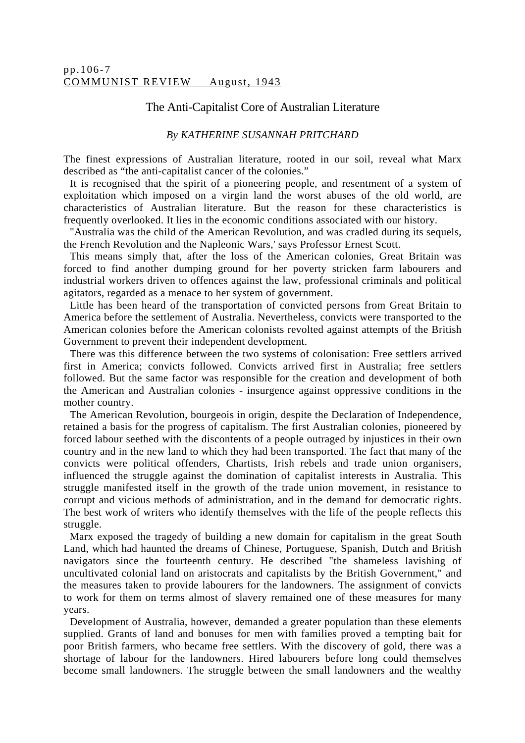## The Anti-Capitalist Core of Australian Literature

## *By KATHERINE SUSANNAH PRITCHARD*

The finest expressions of Australian literature, rooted in our soil, reveal what Marx described as "the anti-capitalist cancer of the colonies."

It is recognised that the spirit of a pioneering people, and resentment of a system of exploitation which imposed on a virgin land the worst abuses of the old world, are characteristics of Australian literature. But the reason for these characteristics is frequently overlooked. It lies in the economic conditions associated with our history.

"Australia was the child of the American Revolution, and was cradled during its sequels, the French Revolution and the Napleonic Wars,' says Professor Ernest Scott.

This means simply that, after the loss of the American colonies, Great Britain was forced to find another dumping ground for her poverty stricken farm labourers and industrial workers driven to offences against the law, professional criminals and political agitators, regarded as a menace to her system of government.

Little has been heard of the transportation of convicted persons from Great Britain to America before the settlement of Australia. Nevertheless, convicts were transported to the American colonies before the American colonists revolted against attempts of the British Government to prevent their independent development.

There was this difference between the two systems of colonisation: Free settlers arrived first in America; convicts followed. Convicts arrived first in Australia; free settlers followed. But the same factor was responsible for the creation and development of both the American and Australian colonies - insurgence against oppressive conditions in the mother country.

The American Revolution, bourgeois in origin, despite the Declaration of Independence, retained a basis for the progress of capitalism. The first Australian colonies, pioneered by forced labour seethed with the discontents of a people outraged by injustices in their own country and in the new land to which they had been transported. The fact that many of the convicts were political offenders, Chartists, Irish rebels and trade union organisers, influenced the struggle against the domination of capitalist interests in Australia. This struggle manifested itself in the growth of the trade union movement, in resistance to corrupt and vicious methods of administration, and in the demand for democratic rights. The best work of writers who identify themselves with the life of the people reflects this struggle.

Marx exposed the tragedy of building a new domain for capitalism in the great South Land, which had haunted the dreams of Chinese, Portuguese, Spanish, Dutch and British navigators since the fourteenth century. He described "the shameless lavishing of uncultivated colonial land on aristocrats and capitalists by the British Government," and the measures taken to provide labourers for the landowners. The assignment of convicts to work for them on terms almost of slavery remained one of these measures for many years.

Development of Australia, however, demanded a greater population than these elements supplied. Grants of land and bonuses for men with families proved a tempting bait for poor British farmers, who became free settlers. With the discovery of gold, there was a shortage of labour for the landowners. Hired labourers before long could themselves become small landowners. The struggle between the small landowners and the wealthy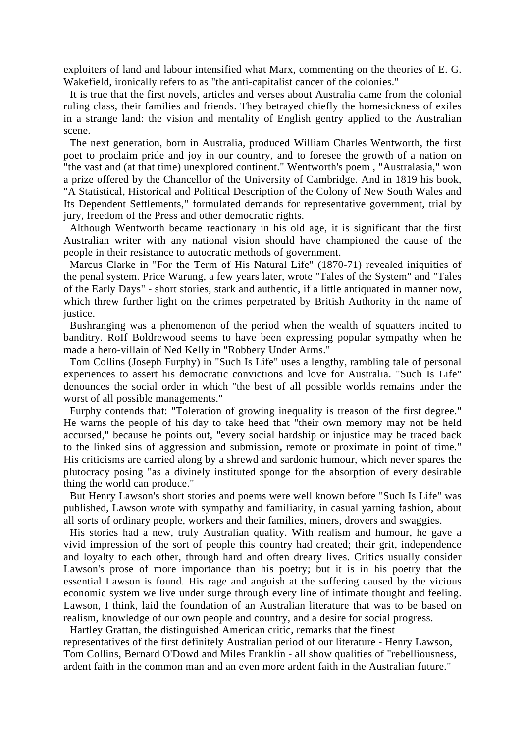exploiters of land and labour intensified what Marx, commenting on the theories of E. G. Wakefield, ironically refers to as "the anti-capitalist cancer of the colonies."

It is true that the first novels, articles and verses about Australia came from the colonial ruling class, their families and friends. They betrayed chiefly the homesickness of exiles in a strange land: the vision and mentality of English gentry applied to the Australian scene.

The next generation, born in Australia, produced William Charles Wentworth, the first poet to proclaim pride and joy in our country, and to foresee the growth of a nation on "the vast and (at that time) unexplored continent." Wentworth's poem , "Australasia," won a prize offered by the Chancellor of the University of Cambridge. And in 1819 his book, "A Statistical, Historical and Political Description of the Colony of New South Wales and Its Dependent Settlements," formulated demands for representative government, trial by jury, freedom of the Press and other democratic rights.

Although Wentworth became reactionary in his old age, it is significant that the first Australian writer with any national vision should have championed the cause of the people in their resistance to autocratic methods of government.

Marcus Clarke in "For the Term of His Natural Life" (1870-71) revealed iniquities of the penal system. Price Warung, a few years later, wrote "Tales of the System" and "Tales of the Early Days" - short stories, stark and authentic, if a little antiquated in manner now, which threw further light on the crimes perpetrated by British Authority in the name of justice.

Bushranging was a phenomenon of the period when the wealth of squatters incited to banditry. RoIf Boldrewood seems to have been expressing popular sympathy when he made a hero-villain of Ned Kelly in "Robbery Under Arms."

Tom Collins (Joseph Furphy) in "Such Is Life" uses a lengthy, rambling tale of personal experiences to assert his democratic convictions and love for Australia. "Such Is Life" denounces the social order in which "the best of all possible worlds remains under the worst of all possible managements."

Furphy contends that: "Toleration of growing inequality is treason of the first degree." He warns the people of his day to take heed that "their own memory may not be held accursed," because he points out, "every social hardship or injustice may be traced back to the linked sins of aggression and submission**,** remote or proximate in point of time." His criticisms are carried along by a shrewd and sardonic humour, which never spares the plutocracy posing "as a divinely instituted sponge for the absorption of every desirable thing the world can produce."

But Henry Lawson's short stories and poems were well known before "Such Is Life" was published, Lawson wrote with sympathy and familiarity, in casual yarning fashion, about all sorts of ordinary people, workers and their families, miners, drovers and swaggies.

His stories had a new, truly Australian quality. With realism and humour, he gave a vivid impression of the sort of people this country had created; their grit, independence and loyalty to each other, through hard and often dreary lives. Critics usually consider Lawson's prose of more importance than his poetry; but it is in his poetry that the essential Lawson is found. His rage and anguish at the suffering caused by the vicious economic system we live under surge through every line of intimate thought and feeling. Lawson, I think, laid the foundation of an Australian literature that was to be based on realism, knowledge of our own people and country, and a desire for social progress.

Hartley Grattan, the distinguished American critic, remarks that the finest representatives of the first definitely Australian period of our literature - Henry Lawson, Tom Collins, Bernard O'Dowd and Miles Franklin - all show qualities of "rebelliousness, ardent faith in the common man and an even more ardent faith in the Australian future."